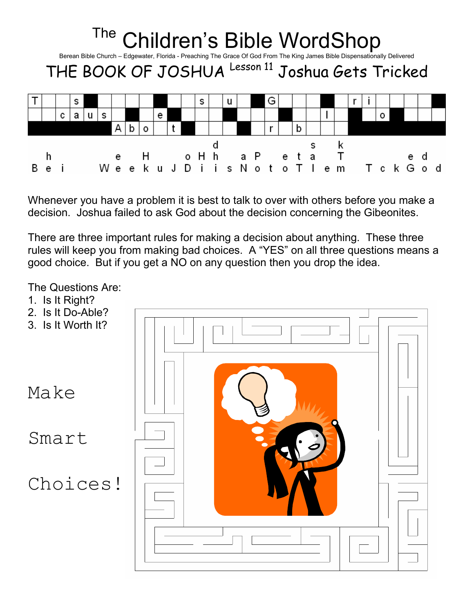| <sup>The</sup> Children's Bible WordShop<br>Berean Bible Church - Edgewater, Florida - Preaching The Grace Of God From The King James Bible Dispensationally Delivered<br>THE BOOK OF JOSHUA Lesson 11 Joshua Gets Tricked |  |   |   |  |   |   |  |  |   |  |  |   |   |  |   |   |  |  |  |                                                 |  |
|----------------------------------------------------------------------------------------------------------------------------------------------------------------------------------------------------------------------------|--|---|---|--|---|---|--|--|---|--|--|---|---|--|---|---|--|--|--|-------------------------------------------------|--|
|                                                                                                                                                                                                                            |  |   | s |  |   |   |  |  |   |  |  | s | u |  | G |   |  |  |  |                                                 |  |
|                                                                                                                                                                                                                            |  | c |   |  | s |   |  |  | е |  |  |   |   |  |   |   |  |  |  |                                                 |  |
|                                                                                                                                                                                                                            |  |   |   |  |   | A |  |  |   |  |  |   |   |  |   | b |  |  |  |                                                 |  |
|                                                                                                                                                                                                                            |  |   |   |  |   |   |  |  |   |  |  |   |   |  |   |   |  |  |  | e HoHha Peta Te<br>Weeku J Diis Noto Tlem Tck G |  |

Whenever you have a problem it is best to talk to over with others before you make a decision. Joshua failed to ask God about the decision concerning the Gibeonites.

There are three important rules for making a decision about anything. These three rules will keep you from making bad choices. A "YES" on all three questions means a good choice. But if you get a NO on any question then you drop the idea.

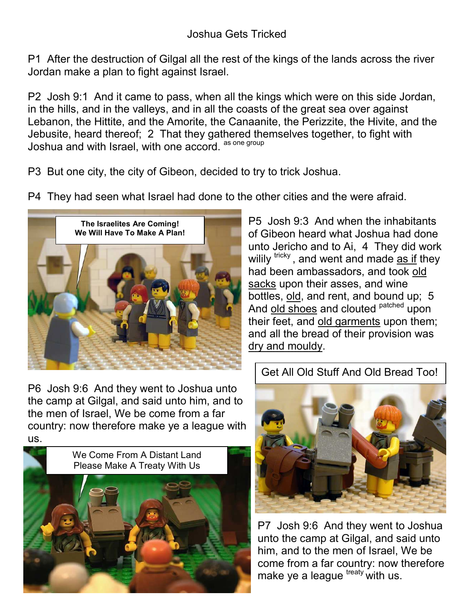P1 After the destruction of Gilgal all the rest of the kings of the lands across the river Jordan make a plan to fight against Israel.

P2 Josh 9:1 And it came to pass, when all the kings which were on this side Jordan, in the hills, and in the valleys, and in all the coasts of the great sea over against Lebanon, the Hittite, and the Amorite, the Canaanite, the Perizzite, the Hivite, and the Jebusite, heard thereof; 2 That they gathered themselves together, to fight with Joshua and with Israel, with one accord. as one group

P3 But one city, the city of Gibeon, decided to try to trick Joshua.

P4 They had seen what Israel had done to the other cities and the were afraid.



P6 Josh 9:6 And they went to Joshua unto the camp at Gilgal, and said unto him, and to the men of Israel, We be come from a far country: now therefore make ye a league with us.



P5 Josh 9:3 And when the inhabitants of Gibeon heard what Joshua had done unto Jericho and to Ai, 4 They did work wilily  $tricky$ , and went and made  $\overline{as}$  if they had been ambassadors, and took old sacks upon their asses, and wine bottles, old, and rent, and bound up; 5 And old shoes and clouted <sup>patched</sup> upon their feet, and old garments upon them; and all the bread of their provision was dry and mouldy.

## Get All Old Stuff And Old Bread Too!



P7 Josh 9:6 And they went to Joshua unto the camp at Gilgal, and said unto him, and to the men of Israel, We be come from a far country: now therefore make ye a league  $t_{\text{reaty}}$  with us.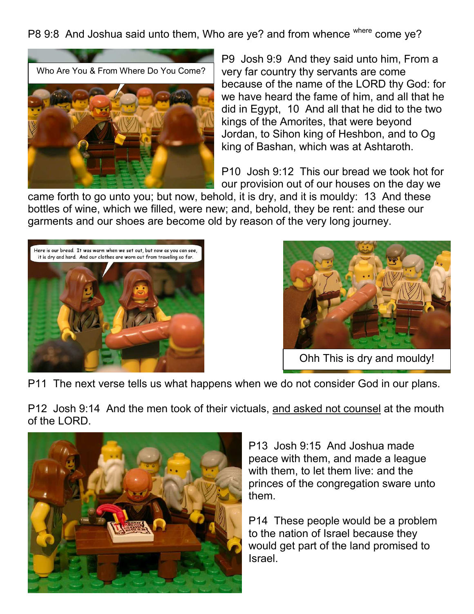P8 9:8 And Joshua said unto them, Who are ye? and from whence where come ye?



P9 Josh 9:9 And they said unto him, From a very far country thy servants are come because of the name of the LORD thy God: for we have heard the fame of him, and all that he did in Egypt, 10 And all that he did to the two kings of the Amorites, that were beyond Jordan, to Sihon king of Heshbon, and to Og king of Bashan, which was at Ashtaroth.

P10 Josh 9:12 This our bread we took hot for our provision out of our houses on the day we

came forth to go unto you; but now, behold, it is dry, and it is mouldy: 13 And these bottles of wine, which we filled, were new; and, behold, they be rent: and these our garments and our shoes are become old by reason of the very long journey.





Ohh This is dry and mouldy!

P11 The next verse tells us what happens when we do not consider God in our plans.

P12 Josh 9:14 And the men took of their victuals, and asked not counsel at the mouth of the LORD.



P13 Josh 9:15 And Joshua made peace with them, and made a league with them, to let them live: and the princes of the congregation sware unto them.

P14 These people would be a problem to the nation of Israel because they would get part of the land promised to Israel.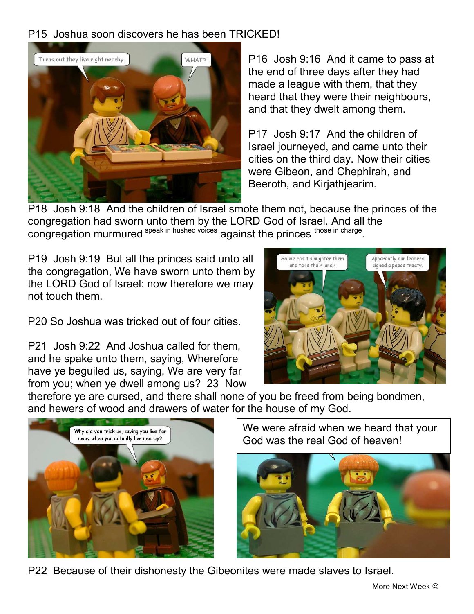## P15 Joshua soon discovers he has been TRICKED!



P16 Josh 9:16 And it came to pass at the end of three days after they had made a league with them, that they heard that they were their neighbours, and that they dwelt among them.

P17 Josh 9:17 And the children of Israel journeyed, and came unto their cities on the third day. Now their cities were Gibeon, and Chephirah, and Beeroth, and Kirjathjearim.

P18 Josh 9:18 And the children of Israel smote them not, because the princes of the congregation had sworn unto them by the LORD God of Israel. And all the congregation murmured speak in hushed voices against the princes those in charge.

P19 Josh 9:19 But all the princes said unto all the congregation, We have sworn unto them by the LORD God of Israel: now therefore we may not touch them.

P20 So Joshua was tricked out of four cities.

P21 Josh 9:22 And Joshua called for them, and he spake unto them, saying, Wherefore have ye beguiled us, saying, We are very far from you; when ye dwell among us? 23 Now



therefore ye are cursed, and there shall none of you be freed from being bondmen, and hewers of wood and drawers of water for the house of my God.



We were afraid when we heard that your God was the real God of heaven!



P22 Because of their dishonesty the Gibeonites were made slaves to Israel.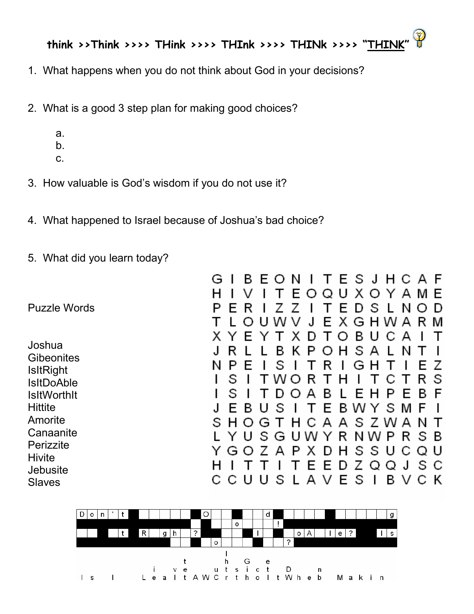

- 1. What happens when you do not think about God in your decisions?
- 2. What is a good 3 step plan for making good choices?
	- a.
	- b.
	- c.
- 3. How valuable is God's wisdom if you do not use it?
- 4. What happened to Israel because of Joshua's bad choice?
- 5. What did you learn today?

|                                                                                                                                                                                                        | ᇰ<br>∍<br>$\overline{ }$<br>ιv<br>$\mathbf{r}$<br>○ J □ ∪ A<br>E.<br>OQUXOYAM                                                                                                                                                                                                                                                                                                       | E                                                                                                     |
|--------------------------------------------------------------------------------------------------------------------------------------------------------------------------------------------------------|-------------------------------------------------------------------------------------------------------------------------------------------------------------------------------------------------------------------------------------------------------------------------------------------------------------------------------------------------------------------------------------|-------------------------------------------------------------------------------------------------------|
| <b>Puzzle Words</b>                                                                                                                                                                                    | E D S<br>R<br>Е<br>L.<br>EXGHWA<br>w v<br>U<br>J<br>$\Omega$                                                                                                                                                                                                                                                                                                                        | Ð<br>N<br>R<br>M                                                                                      |
| Joshua<br><b>Gibeonites</b><br><b>IsItRight</b><br><b>IsItDoAble</b><br><b>IsitWorthit</b><br><b>Hittite</b><br>Amorite<br>Canaanite<br>Perizzite<br><b>Hivite</b><br><b>Jebusite</b><br><b>Slaves</b> | B<br>E<br>х<br>T O<br>U<br>С<br>D<br>Y<br>OHSA<br>в<br>P<br>R<br>ĸ.<br>S<br>R<br>н<br>E<br>G<br>N<br>S<br>W O<br>R<br>н<br>С<br>$\mathbf{I}$<br>S<br>B<br>P<br>D.O<br>A<br>E H<br>L<br>B W Y<br>В<br>S<br>E.<br>U<br>E.<br>T<br>T H C A A S Z W<br>S<br>H O G<br>S G U W Y R N W P R S B<br>U<br>Y<br>DHSSU<br>A P<br>X<br>Ζ<br>G<br>O<br>EEDZQQJ<br>AVES<br>В<br>сс<br>U<br>S<br>U | А<br>N<br>E.<br>R<br>S<br>B<br>E<br>E.<br>S M<br>-F<br>-N<br>$\mathsf{A}$<br>Q U<br>C<br>s c<br>V C K |

D

٦NI.

 $\blacksquare$ 

ົ

ш

 $\blacksquare$